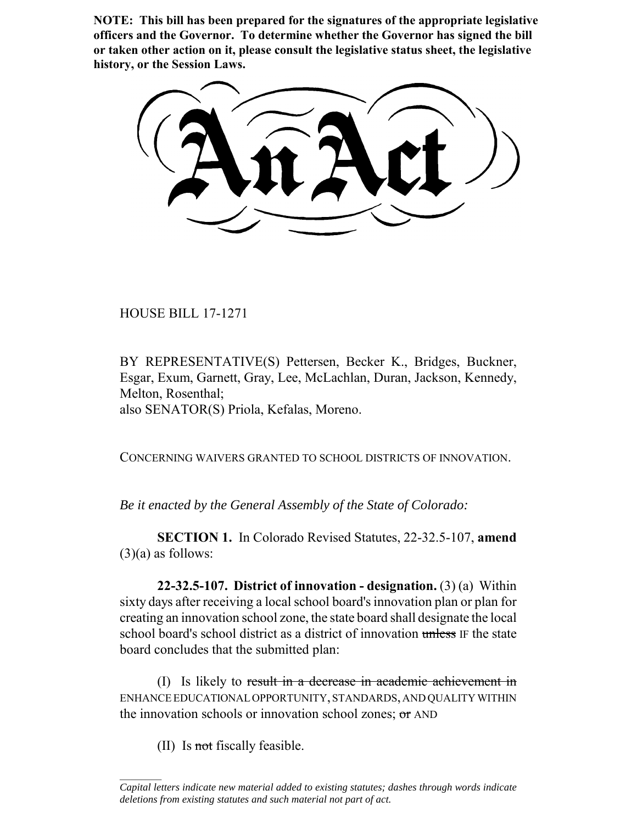**NOTE: This bill has been prepared for the signatures of the appropriate legislative officers and the Governor. To determine whether the Governor has signed the bill or taken other action on it, please consult the legislative status sheet, the legislative history, or the Session Laws.**

HOUSE BILL 17-1271

BY REPRESENTATIVE(S) Pettersen, Becker K., Bridges, Buckner, Esgar, Exum, Garnett, Gray, Lee, McLachlan, Duran, Jackson, Kennedy, Melton, Rosenthal; also SENATOR(S) Priola, Kefalas, Moreno.

CONCERNING WAIVERS GRANTED TO SCHOOL DISTRICTS OF INNOVATION.

*Be it enacted by the General Assembly of the State of Colorado:*

**SECTION 1.** In Colorado Revised Statutes, 22-32.5-107, **amend**  $(3)(a)$  as follows:

**22-32.5-107. District of innovation - designation.** (3) (a) Within sixty days after receiving a local school board's innovation plan or plan for creating an innovation school zone, the state board shall designate the local school board's school district as a district of innovation unless IF the state board concludes that the submitted plan:

(I) Is likely to result in a decrease in academic achievement in ENHANCE EDUCATIONAL OPPORTUNITY, STANDARDS, AND QUALITY WITHIN the innovation schools or innovation school zones; or AND

(II) Is not fiscally feasible.

 $\frac{1}{2}$ 

*Capital letters indicate new material added to existing statutes; dashes through words indicate deletions from existing statutes and such material not part of act.*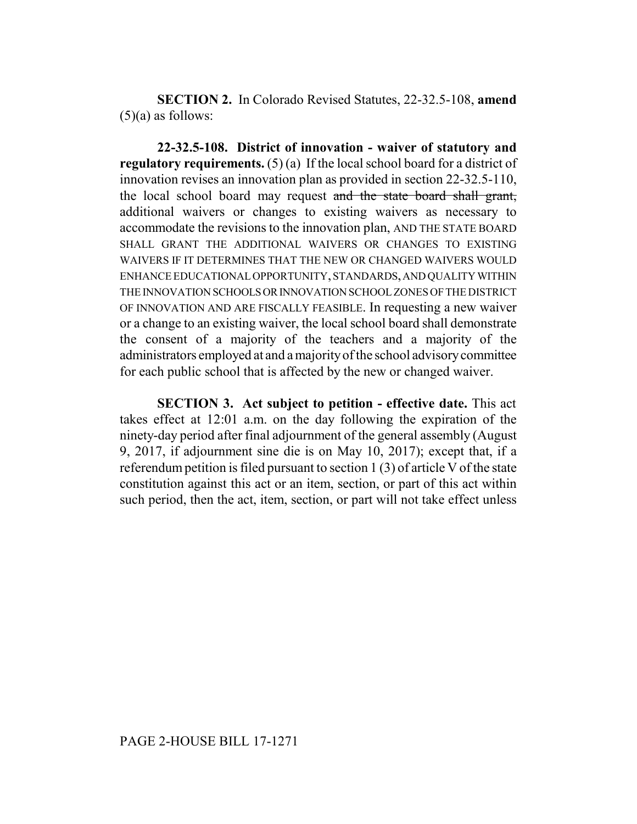**SECTION 2.** In Colorado Revised Statutes, 22-32.5-108, **amend**  $(5)(a)$  as follows:

**22-32.5-108. District of innovation - waiver of statutory and regulatory requirements.** (5) (a) If the local school board for a district of innovation revises an innovation plan as provided in section 22-32.5-110, the local school board may request and the state board shall grant, additional waivers or changes to existing waivers as necessary to accommodate the revisions to the innovation plan, AND THE STATE BOARD SHALL GRANT THE ADDITIONAL WAIVERS OR CHANGES TO EXISTING WAIVERS IF IT DETERMINES THAT THE NEW OR CHANGED WAIVERS WOULD ENHANCE EDUCATIONAL OPPORTUNITY, STANDARDS, AND QUALITY WITHIN THE INNOVATION SCHOOLS OR INNOVATION SCHOOL ZONES OF THE DISTRICT OF INNOVATION AND ARE FISCALLY FEASIBLE. In requesting a new waiver or a change to an existing waiver, the local school board shall demonstrate the consent of a majority of the teachers and a majority of the administrators employed at and a majority of the school advisory committee for each public school that is affected by the new or changed waiver.

**SECTION 3. Act subject to petition - effective date.** This act takes effect at 12:01 a.m. on the day following the expiration of the ninety-day period after final adjournment of the general assembly (August 9, 2017, if adjournment sine die is on May 10, 2017); except that, if a referendum petition is filed pursuant to section 1 (3) of article V of the state constitution against this act or an item, section, or part of this act within such period, then the act, item, section, or part will not take effect unless